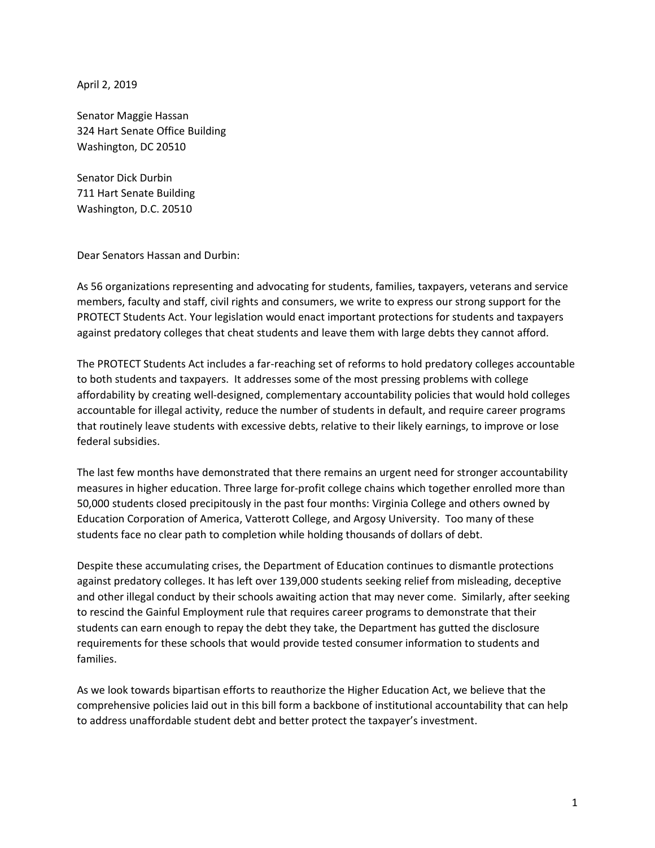April 2, 2019

Senator Maggie Hassan 324 Hart Senate Office Building Washington, DC 20510

Senator Dick Durbin 711 Hart Senate Building Washington, D.C. 20510

Dear Senators Hassan and Durbin:

As 56 organizations representing and advocating for students, families, taxpayers, veterans and service members, faculty and staff, civil rights and consumers, we write to express our strong support for the PROTECT Students Act. Your legislation would enact important protections for students and taxpayers against predatory colleges that cheat students and leave them with large debts they cannot afford.

The PROTECT Students Act includes a far-reaching set of reforms to hold predatory colleges accountable to both students and taxpayers. It addresses some of the most pressing problems with college affordability by creating well-designed, complementary accountability policies that would hold colleges accountable for illegal activity, reduce the number of students in default, and require career programs that routinely leave students with excessive debts, relative to their likely earnings, to improve or lose federal subsidies.

The last few months have demonstrated that there remains an urgent need for stronger accountability measures in higher education. Three large for-profit college chains which together enrolled more than 50,000 students closed precipitously in the past four months: Virginia College and others owned by Education Corporation of America, Vatterott College, and Argosy University. Too many of these students face no clear path to completion while holding thousands of dollars of debt.

Despite these accumulating crises, the Department of Education continues to dismantle protections against predatory colleges. It has left over 139,000 students seeking relief from misleading, deceptive and other illegal conduct by their schools awaiting action that may never come. Similarly, after seeking to rescind the Gainful Employment rule that requires career programs to demonstrate that their students can earn enough to repay the debt they take, the Department has gutted the disclosure requirements for these schools that would provide tested consumer information to students and families.

As we look towards bipartisan efforts to reauthorize the Higher Education Act, we believe that the comprehensive policies laid out in this bill form a backbone of institutional accountability that can help to address unaffordable student debt and better protect the taxpayer's investment.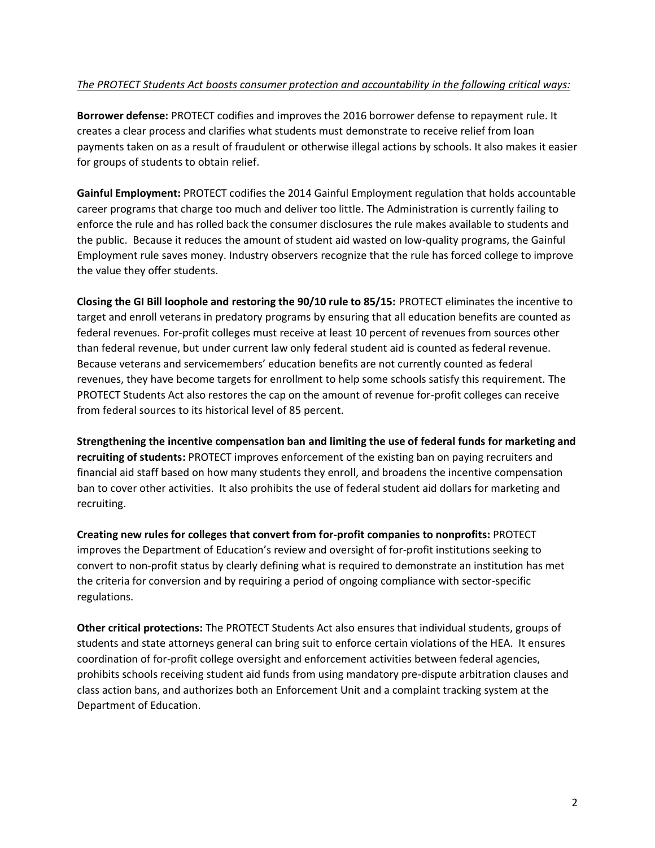## *The PROTECT Students Act boosts consumer protection and accountability in the following critical ways:*

**Borrower defense:** PROTECT codifies and improves the 2016 borrower defense to repayment rule. It creates a clear process and clarifies what students must demonstrate to receive relief from loan payments taken on as a result of fraudulent or otherwise illegal actions by schools. It also makes it easier for groups of students to obtain relief.

**Gainful Employment:** PROTECT codifies the 2014 Gainful Employment regulation that holds accountable career programs that charge too much and deliver too little. The Administration is currently failing to enforce the rule and has rolled back the consumer disclosures the rule makes available to students and the public. Because it reduces the amount of student aid wasted on low-quality programs, the Gainful Employment rule saves money. Industry observers recognize that the rule has forced college to improve the value they offer students.

**Closing the GI Bill loophole and restoring the 90/10 rule to 85/15:** PROTECT eliminates the incentive to target and enroll veterans in predatory programs by ensuring that all education benefits are counted as federal revenues. For-profit colleges must receive at least 10 percent of revenues from sources other than federal revenue, but under current law only federal student aid is counted as federal revenue. Because veterans and servicemembers' education benefits are not currently counted as federal revenues, they have become targets for enrollment to help some schools satisfy this requirement. The PROTECT Students Act also restores the cap on the amount of revenue for-profit colleges can receive from federal sources to its historical level of 85 percent.

**Strengthening the incentive compensation ban and limiting the use of federal funds for marketing and recruiting of students:** PROTECT improves enforcement of the existing ban on paying recruiters and financial aid staff based on how many students they enroll, and broadens the incentive compensation ban to cover other activities. It also prohibits the use of federal student aid dollars for marketing and recruiting.

**Creating new rules for colleges that convert from for-profit companies to nonprofits:** PROTECT improves the Department of Education's review and oversight of for-profit institutions seeking to convert to non-profit status by clearly defining what is required to demonstrate an institution has met the criteria for conversion and by requiring a period of ongoing compliance with sector-specific regulations.

**Other critical protections:** The PROTECT Students Act also ensures that individual students, groups of students and state attorneys general can bring suit to enforce certain violations of the HEA. It ensures coordination of for-profit college oversight and enforcement activities between federal agencies, prohibits schools receiving student aid funds from using mandatory pre-dispute arbitration clauses and class action bans, and authorizes both an Enforcement Unit and a complaint tracking system at the Department of Education.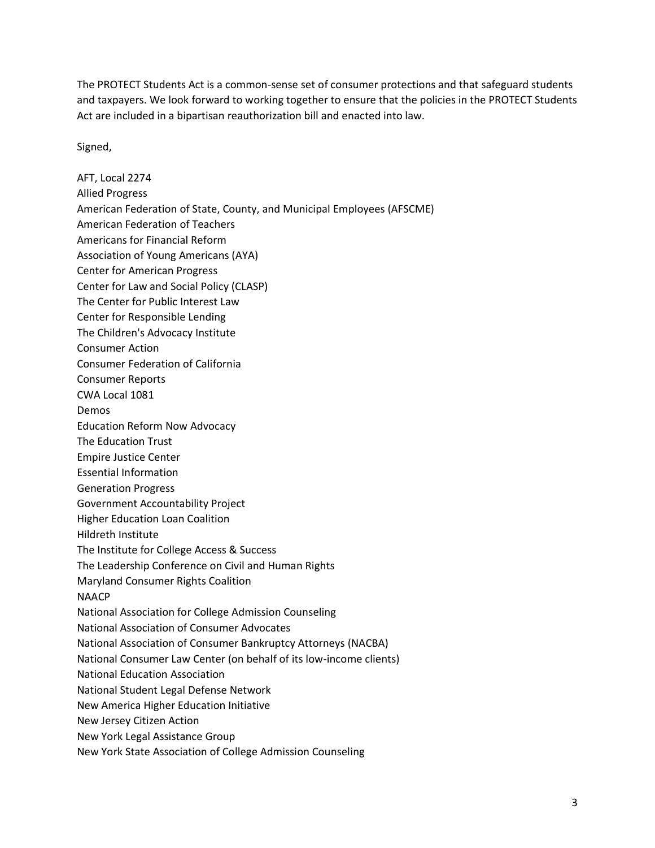The PROTECT Students Act is a common-sense set of consumer protections and that safeguard students and taxpayers. We look forward to working together to ensure that the policies in the PROTECT Students Act are included in a bipartisan reauthorization bill and enacted into law.

Signed,

AFT, Local 2274 Allied Progress American Federation of State, County, and Municipal Employees (AFSCME) American Federation of Teachers Americans for Financial Reform Association of Young Americans (AYA) Center for American Progress Center for Law and Social Policy (CLASP) The Center for Public Interest Law Center for Responsible Lending The Children's Advocacy Institute Consumer Action Consumer Federation of California Consumer Reports CWA Local 1081 Demos Education Reform Now Advocacy The Education Trust Empire Justice Center Essential Information Generation Progress Government Accountability Project Higher Education Loan Coalition Hildreth Institute The Institute for College Access & Success The Leadership Conference on Civil and Human Rights Maryland Consumer Rights Coalition NAACP National Association for College Admission Counseling National Association of Consumer Advocates National Association of Consumer Bankruptcy Attorneys (NACBA) National Consumer Law Center (on behalf of its low-income clients) National Education Association National Student Legal Defense Network New America Higher Education Initiative New Jersey Citizen Action New York Legal Assistance Group New York State Association of College Admission Counseling